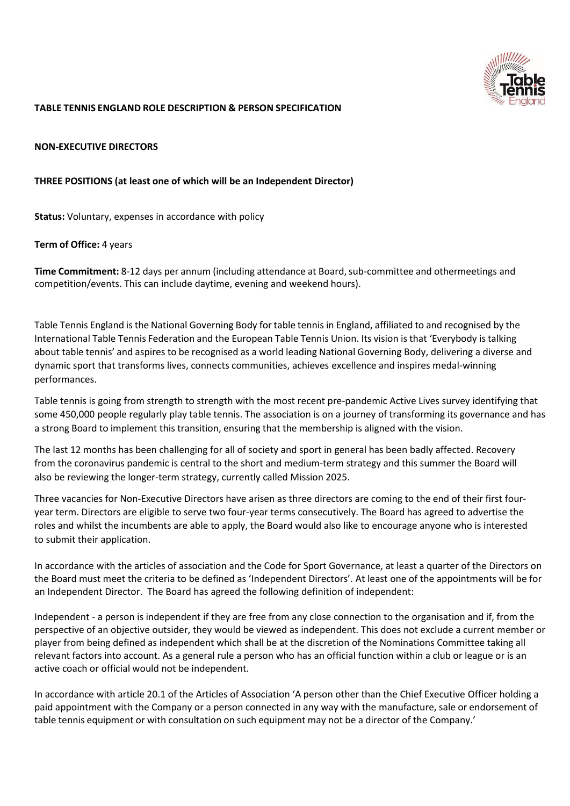

### **TABLE TENNIS ENGLAND ROLE DESCRIPTION & PERSON SPECIFICATION**

### **NON-EXECUTIVE DIRECTORS**

### **THREE POSITIONS (at least one of which will be an Independent Director)**

**Status:** Voluntary, expenses in accordance with policy

### **Term of Office:** 4 years

**Time Commitment:** 8-12 days per annum (including attendance at Board,sub-committee and othermeetings and competition/events. This can include daytime, evening and weekend hours).

Table Tennis England isthe National Governing Body for table tennisin England, affiliated to and recognised by the International Table Tennis Federation and the European Table Tennis Union. Its vision isthat 'Everybody is talking about table tennis' and aspires to be recognised as a world leading National Governing Body, delivering a diverse and dynamic sport that transforms lives, connects communities, achieves excellence and inspires medal-winning performances.

Table tennis is going from strength to strength with the most recent pre-pandemic Active Lives survey identifying that some 450,000 people regularly play table tennis. The association is on a journey of transforming its governance and has a strong Board to implement this transition, ensuring that the membership is aligned with the vision.

The last 12 months has been challenging for all of society and sport in general has been badly affected. Recovery from the coronavirus pandemic is central to the short and medium-term strategy and this summer the Board will also be reviewing the longer-term strategy, currently called Mission 2025.

Three vacancies for Non-Executive Directors have arisen as three directors are coming to the end of their first fouryear term. Directors are eligible to serve two four-year terms consecutively. The Board has agreed to advertise the roles and whilst the incumbents are able to apply, the Board would also like to encourage anyone who is interested to submit their application.

In accordance with the articles of association and the Code for Sport Governance, at least a quarter of the Directors on the Board must meet the criteria to be defined as 'Independent Directors'. At least one of the appointments will be for an Independent Director. The Board has agreed the following definition of independent:

Independent - a person is independent if they are free from any close connection to the organisation and if, from the perspective of an objective outsider, they would be viewed as independent. This does not exclude a current member or player from being defined as independent which shall be at the discretion of the Nominations Committee taking all relevant factors into account. As a general rule a person who has an official function within a club or league or is an active coach or official would not be independent.

In accordance with article 20.1 of the Articles of Association 'A person other than the Chief Executive Officer holding a paid appointment with the Company or a person connected in any way with the manufacture, sale or endorsement of table tennis equipment or with consultation on such equipment may not be a director of the Company.'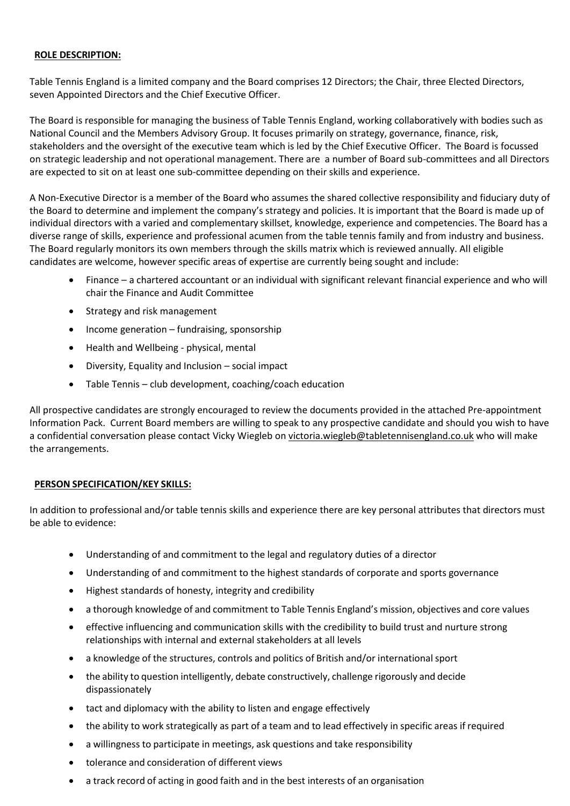## **ROLE DESCRIPTION:**

Table Tennis England is a limited company and the Board comprises 12 Directors; the Chair, three Elected Directors, seven Appointed Directors and the Chief Executive Officer.

The Board is responsible for managing the business of Table Tennis England, working collaboratively with bodies such as National Council and the Members Advisory Group. It focuses primarily on strategy, governance, finance, risk, stakeholders and the oversight of the executive team which is led by the Chief Executive Officer. The Board is focussed on strategic leadership and not operational management. There are a number of Board sub-committees and all Directors are expected to sit on at least one sub-committee depending on their skills and experience.

A Non-Executive Director is a member of the Board who assumes the shared collective responsibility and fiduciary duty of the Board to determine and implement the company's strategy and policies. It is important that the Board is made up of individual directors with a varied and complementary skillset, knowledge, experience and competencies. The Board has a diverse range of skills, experience and professional acumen from the table tennis family and from industry and business. The Board regularly monitors its own members through the skills matrix which is reviewed annually. All eligible candidates are welcome, however specific areas of expertise are currently being sought and include:

- Finance a chartered accountant or an individual with significant relevant financial experience and who will chair the Finance and Audit Committee
- Strategy and risk management
- Income generation fundraising, sponsorship
- Health and Wellbeing physical, mental
- Diversity, Equality and Inclusion social impact
- Table Tennis club development, coaching/coach education

All prospective candidates are strongly encouraged to review the documents provided in the attached Pre-appointment Information Pack. Current Board members are willing to speak to any prospective candidate and should you wish to have a confidential conversation please contact Vicky Wiegleb on [victoria.wiegleb@tabletennisengland.co.uk](mailto:victoria.wiegleb@tabletennisengland.co.uk) who will make the arrangements.

# **PERSON SPECIFICATION/KEY SKILLS:**

In addition to professional and/or table tennis skills and experience there are key personal attributes that directors must be able to evidence:

- Understanding of and commitment to the legal and regulatory duties of a director
- Understanding of and commitment to the highest standards of corporate and sports governance
- Highest standards of honesty, integrity and credibility
- a thorough knowledge of and commitment to Table Tennis England's mission, objectives and core values
- effective influencing and communication skills with the credibility to build trust and nurture strong relationships with internal and external stakeholders at all levels
- a knowledge of the structures, controls and politics of British and/or international sport
- the ability to question intelligently, debate constructively, challenge rigorously and decide dispassionately
- tact and diplomacy with the ability to listen and engage effectively
- the ability to work strategically as part of a team and to lead effectively in specific areas if required
- a willingness to participate in meetings, ask questions and take responsibility
- tolerance and consideration of different views
- a track record of acting in good faith and in the best interests of an organisation